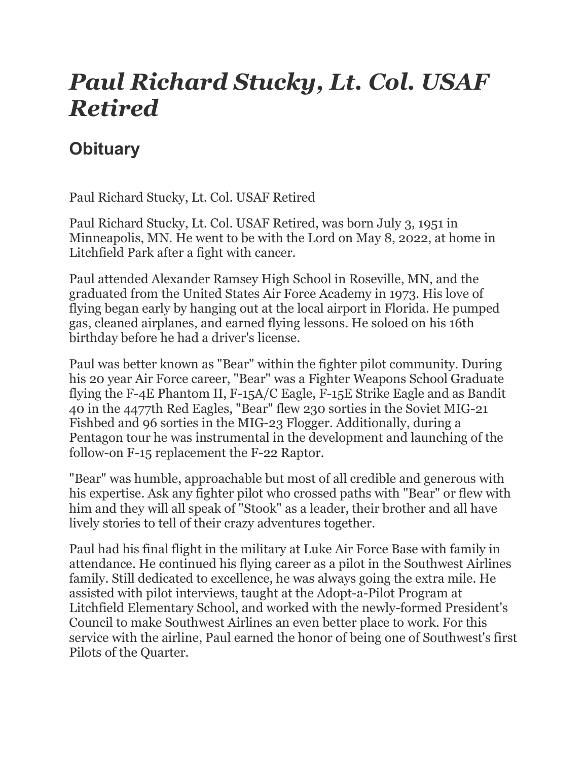## Paul Richard Stucky, Lt. Col. USAF Retired

## **Obituary**

Paul Richard Stucky, Lt. Col. USAF Retired

Paul Richard Stucky, Lt. Col. USAF Retired, was born July 3, 1951 in Minneapolis, MN. He went to be with the Lord on May 8, 2022, at home in Litchfield Park after a fight with cancer.

Paul attended Alexander Ramsey High School in Roseville, MN, and the graduated from the United States Air Force Academy in 1973. His love of flying began early by hanging out at the local airport in Florida. He pumped gas, cleaned airplanes, and earned flying lessons. He soloed on his 16th birthday before he had a driver's license.

Paul was better known as "Bear" within the fighter pilot community. During his 20 year Air Force career, "Bear" was a Fighter Weapons School Graduate flying the F-4E Phantom II, F-15A/C Eagle, F-15E Strike Eagle and as Bandit 40 in the 4477th Red Eagles, "Bear" flew 230 sorties in the Soviet MIG-21 Fishbed and 96 sorties in the MIG-23 Flogger. Additionally, during a Pentagon tour he was instrumental in the development and launching of the follow-on F-15 replacement the F-22 Raptor.

"Bear" was humble, approachable but most of all credible and generous with his expertise. Ask any fighter pilot who crossed paths with "Bear" or flew with him and they will all speak of "Stook" as a leader, their brother and all have lively stories to tell of their crazy adventures together.

Paul had his final flight in the military at Luke Air Force Base with family in attendance. He continued his flying career as a pilot in the Southwest Airlines family. Still dedicated to excellence, he was always going the extra mile. He assisted with pilot interviews, taught at the Adopt-a-Pilot Program at Litchfield Elementary School, and worked with the newly-formed President's Council to make Southwest Airlines an even better place to work. For this service with the airline, Paul earned the honor of being one of Southwest's first Pilots of the Quarter.